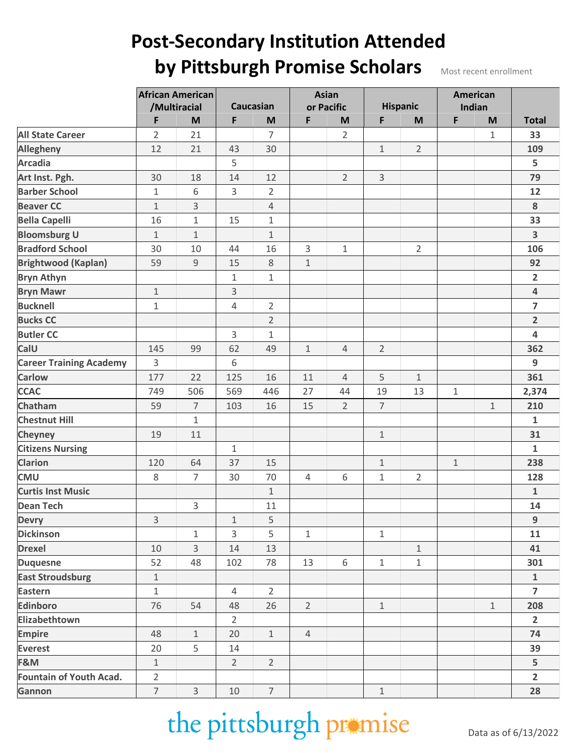## **Post-Secondary Institution Attended by Pittsburgh Promise Scholars** Most recent enrollment

|                                |                | <b>African American</b> |                | <b>Asian</b>   |                |                | American       |                 |             |              |                         |
|--------------------------------|----------------|-------------------------|----------------|----------------|----------------|----------------|----------------|-----------------|-------------|--------------|-------------------------|
|                                |                | /Multiracial            |                | Caucasian      |                | or Pacific     |                | <b>Hispanic</b> |             | Indian       |                         |
|                                | F              | M                       | F              | M              | F              | M              | F              | M               | F           | M            | <b>Total</b>            |
| <b>All State Career</b>        | $\overline{2}$ | 21                      |                | $\overline{7}$ |                | $\overline{2}$ |                |                 |             | $\mathbf{1}$ | 33                      |
| <b>Allegheny</b>               | 12             | 21                      | 43             | 30             |                |                | $1\,$          | $\overline{2}$  |             |              | 109                     |
| <b>Arcadia</b>                 |                |                         | 5              |                |                |                |                |                 |             |              | 5                       |
| Art Inst. Pgh.                 | 30             | 18                      | 14             | 12             |                | $\overline{2}$ | $\mathsf{3}$   |                 |             |              | 79                      |
| <b>Barber School</b>           | $\mathbf{1}$   | 6                       | 3              | $\overline{2}$ |                |                |                |                 |             |              | 12                      |
| <b>Beaver CC</b>               | $\mathbf{1}$   | 3                       |                | $\overline{4}$ |                |                |                |                 |             |              | 8                       |
| <b>Bella Capelli</b>           | 16             | $\mathbf{1}$            | 15             | $\mathbf 1$    |                |                |                |                 |             |              | 33                      |
| <b>Bloomsburg U</b>            | $\mathbf{1}$   | $1\,$                   |                | $1\,$          |                |                |                |                 |             |              | 3                       |
| <b>Bradford School</b>         | 30             | 10                      | 44             | 16             | 3              | $\mathbf{1}$   |                | $\overline{2}$  |             |              | 106                     |
| <b>Brightwood (Kaplan)</b>     | 59             | $\mathsf 9$             | 15             | 8              | $\mathbf{1}$   |                |                |                 |             |              | 92                      |
| <b>Bryn Athyn</b>              |                |                         | $\mathbf{1}$   | $\mathbf{1}$   |                |                |                |                 |             |              | $\overline{2}$          |
| <b>Bryn Mawr</b>               | $1\,$          |                         | 3              |                |                |                |                |                 |             |              | 4                       |
| <b>Bucknell</b>                | $\mathbf{1}$   |                         | 4              | $\overline{2}$ |                |                |                |                 |             |              | $\overline{\mathbf{z}}$ |
| <b>Bucks CC</b>                |                |                         |                | $\overline{2}$ |                |                |                |                 |             |              | $\overline{2}$          |
| <b>Butler CC</b>               |                |                         | 3              | $\mathbf{1}$   |                |                |                |                 |             |              | 4                       |
| CalU                           | 145            | 99                      | 62             | 49             | $\mathbf{1}$   | $\overline{4}$ | $\overline{2}$ |                 |             |              | 362                     |
| <b>Career Training Academy</b> | 3              |                         | 6              |                |                |                |                |                 |             |              | 9                       |
| <b>Carlow</b>                  | 177            | 22                      | 125            | 16             | 11             | $\overline{4}$ | 5              | $\mathbf{1}$    |             |              | 361                     |
| <b>CCAC</b>                    | 749            | 506                     | 569            | 446            | 27             | 44             | 19             | 13              | $\mathbf 1$ |              | 2,374                   |
| Chatham                        | 59             | $\overline{7}$          | 103            | 16             | 15             | $\overline{2}$ | $\overline{7}$ |                 |             | $\mathbf 1$  | 210                     |
| <b>Chestnut Hill</b>           |                | $\mathbf 1$             |                |                |                |                |                |                 |             |              | $\mathbf{1}$            |
| <b>Cheyney</b>                 | 19             | 11                      |                |                |                |                | $1\,$          |                 |             |              | 31                      |
| <b>Citizens Nursing</b>        |                |                         | $\mathbf{1}$   |                |                |                |                |                 |             |              | $\mathbf{1}$            |
| <b>Clarion</b>                 | 120            | 64                      | 37             | 15             |                |                | $1\,$          |                 | $1\,$       |              | 238                     |
| <b>CMU</b>                     | 8              | $\overline{7}$          | 30             | 70             | $\overline{4}$ | 6              | $\mathbf{1}$   | $\overline{2}$  |             |              | 128                     |
| <b>Curtis Inst Music</b>       |                |                         |                | $1\,$          |                |                |                |                 |             |              | $\mathbf{1}$            |
| <b>Dean Tech</b>               |                | 3                       |                | 11             |                |                |                |                 |             |              | 14                      |
| <b>Devry</b>                   | 3              |                         | $\mathbf 1$    | 5              |                |                |                |                 |             |              | 9                       |
| Dickinson                      |                | $\mathbf 1$             | 3              | 5              | $\mathbf{1}$   |                | $\mathbf{1}$   |                 |             |              | 11                      |
| <b>Drexel</b>                  | 10             | 3                       | 14             | 13             |                |                |                | $\mathbf 1$     |             |              | 41                      |
| <b>Duquesne</b>                | 52             | 48                      | 102            | 78             | 13             | 6              | $\mathbf{1}$   | 1               |             |              | 301                     |
| <b>East Stroudsburg</b>        | $1\,$          |                         |                |                |                |                |                |                 |             |              | $\mathbf{1}$            |
| <b>Eastern</b>                 | $\mathbf{1}$   |                         | $\overline{4}$ | $\overline{2}$ |                |                |                |                 |             |              | $\overline{7}$          |
| <b>Edinboro</b>                | 76             | 54                      | 48             | 26             | $\overline{2}$ |                | $1\,$          |                 |             | $\mathbf 1$  | 208                     |
| Elizabethtown                  |                |                         | $\overline{2}$ |                |                |                |                |                 |             |              | $\overline{2}$          |
| <b>Empire</b>                  | 48             | $\mathbf 1$             | 20             | $1\,$          | $\overline{4}$ |                |                |                 |             |              | 74                      |
| Everest                        | 20             | 5                       | 14             |                |                |                |                |                 |             |              | 39                      |
| F&M                            | $1\,$          |                         | $\overline{2}$ | $\overline{2}$ |                |                |                |                 |             |              | 5                       |
| Fountain of Youth Acad.        | $\overline{2}$ |                         |                |                |                |                |                |                 |             |              | $\overline{2}$          |
| Gannon                         | $\overline{7}$ | $\mathsf 3$             | 10             | $\overline{7}$ |                |                | $1\,$          |                 |             |              | 28                      |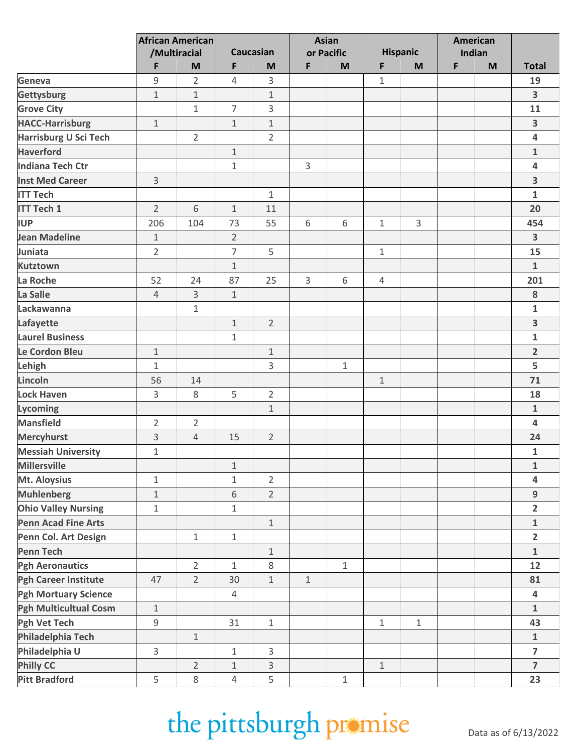|                              | <b>African American</b><br>/Multiracial |                | Caucasian      |                | <b>Asian</b><br>or Pacific |             | <b>Hispanic</b> |              | American<br>Indian |   |                         |
|------------------------------|-----------------------------------------|----------------|----------------|----------------|----------------------------|-------------|-----------------|--------------|--------------------|---|-------------------------|
|                              |                                         |                |                |                |                            |             |                 |              |                    |   |                         |
|                              | F                                       | M              | F              | M              | F                          | M           | F               | M            | F                  | M | <b>Total</b>            |
| Geneva                       | 9                                       | $\overline{2}$ | 4              | 3              |                            |             | $\mathbf{1}$    |              |                    |   | 19                      |
| Gettysburg                   | $\mathbf{1}$                            | $\mathbf{1}$   |                | $\mathbf{1}$   |                            |             |                 |              |                    |   | 3                       |
| <b>Grove City</b>            |                                         | 1              | $\overline{7}$ | $\overline{3}$ |                            |             |                 |              |                    |   | 11                      |
| <b>HACC-Harrisburg</b>       | $\mathbf 1$                             |                | $1\,$          | $\mathbf{1}$   |                            |             |                 |              |                    |   | 3                       |
| Harrisburg U Sci Tech        |                                         | $\overline{2}$ |                | $\overline{2}$ |                            |             |                 |              |                    |   | 4                       |
| <b>Haverford</b>             |                                         |                | $1\,$          |                |                            |             |                 |              |                    |   | $\mathbf 1$             |
| <b>Indiana Tech Ctr</b>      |                                         |                | $\mathbf 1$    |                | 3                          |             |                 |              |                    |   | 4                       |
| <b>Inst Med Career</b>       | 3                                       |                |                |                |                            |             |                 |              |                    |   | 3                       |
| <b>ITT Tech</b>              |                                         |                |                | $\mathbf{1}$   |                            |             |                 |              |                    |   | $\mathbf{1}$            |
| <b>ITT Tech 1</b>            | $\overline{2}$                          | 6              | $\mathbf 1$    | 11             |                            |             |                 |              |                    |   | 20                      |
| <b>IUP</b>                   | 206                                     | 104            | 73             | 55             | 6                          | 6           | 1               | $\mathsf{3}$ |                    |   | 454                     |
| <b>Jean Madeline</b>         | $\mathbf 1$                             |                | $\overline{2}$ |                |                            |             |                 |              |                    |   | 3                       |
| Juniata                      | $\overline{2}$                          |                | $\overline{7}$ | 5              |                            |             | $\mathbf{1}$    |              |                    |   | 15                      |
| <b>Kutztown</b>              |                                         |                | $\mathbf 1$    |                |                            |             |                 |              |                    |   | $\mathbf{1}$            |
| La Roche                     | 52                                      | 24             | 87             | 25             | 3                          | 6           | $\overline{4}$  |              |                    |   | 201                     |
| La Salle                     | $\overline{4}$                          | 3              | $\mathbf 1$    |                |                            |             |                 |              |                    |   | 8                       |
| Lackawanna                   |                                         | 1              |                |                |                            |             |                 |              |                    |   | $\mathbf{1}$            |
| Lafayette                    |                                         |                | $\mathbf 1$    | $\overline{2}$ |                            |             |                 |              |                    |   | 3                       |
| <b>Laurel Business</b>       |                                         |                | $\mathbf 1$    |                |                            |             |                 |              |                    |   | $\mathbf{1}$            |
| Le Cordon Bleu               | $1\,$                                   |                |                | $1\,$          |                            |             |                 |              |                    |   | $\overline{2}$          |
| Lehigh                       | $1\,$                                   |                |                | 3              |                            | $\mathbf 1$ |                 |              |                    |   | 5                       |
| Lincoln                      | 56                                      | 14             |                |                |                            |             | $\mathbf 1$     |              |                    |   | 71                      |
| <b>Lock Haven</b>            | 3                                       | $\,8\,$        | 5              | $\overline{2}$ |                            |             |                 |              |                    |   | 18                      |
| <b>Lycoming</b>              |                                         |                |                | $\mathbf{1}$   |                            |             |                 |              |                    |   | $\mathbf{1}$            |
| <b>Mansfield</b>             | $\overline{2}$                          | $\overline{2}$ |                |                |                            |             |                 |              |                    |   | $\overline{\mathbf{4}}$ |
| <b>Mercyhurst</b>            | 3                                       | $\sqrt{4}$     | 15             | $\overline{2}$ |                            |             |                 |              |                    |   | 24                      |
| <b>Messiah University</b>    | $\mathbf 1$                             |                |                |                |                            |             |                 |              |                    |   | $\mathbf{1}$            |
| <b>Millersville</b>          |                                         |                | $\mathbf 1$    |                |                            |             |                 |              |                    |   | $\mathbf{1}$            |
| Mt. Aloysius                 | $\mathbf{1}$                            |                | 1              | $\overline{2}$ |                            |             |                 |              |                    |   | $\overline{4}$          |
| <b>Muhlenberg</b>            | $\mathbf 1$                             |                | 6              | $\overline{2}$ |                            |             |                 |              |                    |   | $\overline{9}$          |
| <b>Ohio Valley Nursing</b>   | $\mathbf{1}$                            |                | $\mathbf 1$    |                |                            |             |                 |              |                    |   | $\overline{2}$          |
| <b>Penn Acad Fine Arts</b>   |                                         |                |                | $\,1\,$        |                            |             |                 |              |                    |   | $\mathbf{1}$            |
| Penn Col. Art Design         |                                         | $1\,$          | $1\,$          |                |                            |             |                 |              |                    |   | $\overline{2}$          |
| <b>Penn Tech</b>             |                                         |                |                | $\,1\,$        |                            |             |                 |              |                    |   | $\mathbf{1}$            |
| <b>Pgh Aeronautics</b>       |                                         | $\overline{2}$ | $\mathbf{1}$   | 8              |                            | $\mathbf 1$ |                 |              |                    |   | 12                      |
| <b>Pgh Career Institute</b>  | 47                                      | $\overline{2}$ | 30             | $1\,$          | $\mathbf 1$                |             |                 |              |                    |   | 81                      |
| Pgh Mortuary Science         |                                         |                | 4              |                |                            |             |                 |              |                    |   | $\overline{\mathbf{4}}$ |
| <b>Pgh Multicultual Cosm</b> | $\,1\,$                                 |                |                |                |                            |             |                 |              |                    |   | $\mathbf{1}$            |
| Pgh Vet Tech                 | 9                                       |                | 31             | $\mathbf 1$    |                            |             | $\mathbf 1$     | $\mathbf 1$  |                    |   | 43                      |
| Philadelphia Tech            |                                         | $1\,$          |                |                |                            |             |                 |              |                    |   | $\mathbf{1}$            |
| Philadelphia U               | $\overline{3}$                          |                | $\mathbf{1}$   | 3              |                            |             |                 |              |                    |   | $\overline{7}$          |
| <b>Philly CC</b>             |                                         | $\overline{2}$ | $1\,$          | 3              |                            |             | $\mathbf 1$     |              |                    |   | $\overline{7}$          |
| <b>Pitt Bradford</b>         | 5                                       | 8              | $\overline{4}$ | 5              |                            | $\mathbf 1$ |                 |              |                    |   | 23                      |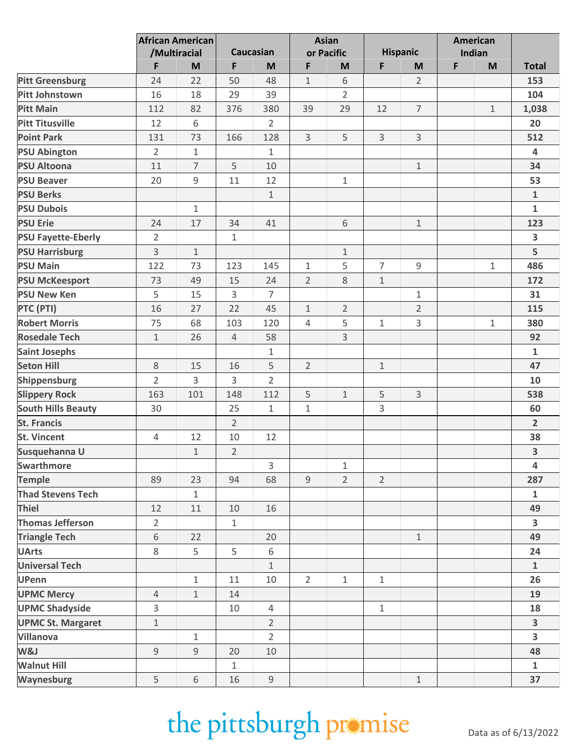| <b>Hispanic</b><br>Caucasian<br>Indian<br>/Multiracial<br>or Pacific<br>F<br>F<br>F<br>F<br>F<br><b>Total</b><br>M<br>M<br>M<br>M<br>M<br><b>Pitt Greensburg</b><br>6<br>$\overline{2}$<br>24<br>22<br>50<br>48<br>153<br>$\mathbf{1}$<br>$\overline{2}$<br>39<br><b>Pitt Johnstown</b><br>16<br>18<br>29<br>104<br>$\overline{7}$<br><b>Pitt Main</b><br>39<br>29<br>112<br>82<br>376<br>380<br>12<br>$\mathbf{1}$<br>1,038<br>6<br>$\overline{2}$<br><b>Pitt Titusville</b><br>12<br>20<br><b>Point Park</b><br>$\overline{3}$<br>5<br>$\overline{3}$<br>3<br>131<br>73<br>166<br>128<br>512<br>$\overline{2}$<br>$\mathbf{1}$<br><b>PSU Abington</b><br>$\mathbf{1}$<br>$\overline{\mathbf{4}}$<br>5<br><b>PSU Altoona</b><br>11<br>$\overline{7}$<br>10<br>$1\,$<br>34<br>$\mathsf 9$<br>53<br><b>PSU Beaver</b><br>20<br>11<br>12<br>$\mathbf{1}$ |  |
|--------------------------------------------------------------------------------------------------------------------------------------------------------------------------------------------------------------------------------------------------------------------------------------------------------------------------------------------------------------------------------------------------------------------------------------------------------------------------------------------------------------------------------------------------------------------------------------------------------------------------------------------------------------------------------------------------------------------------------------------------------------------------------------------------------------------------------------------------------|--|
|                                                                                                                                                                                                                                                                                                                                                                                                                                                                                                                                                                                                                                                                                                                                                                                                                                                        |  |
|                                                                                                                                                                                                                                                                                                                                                                                                                                                                                                                                                                                                                                                                                                                                                                                                                                                        |  |
|                                                                                                                                                                                                                                                                                                                                                                                                                                                                                                                                                                                                                                                                                                                                                                                                                                                        |  |
|                                                                                                                                                                                                                                                                                                                                                                                                                                                                                                                                                                                                                                                                                                                                                                                                                                                        |  |
|                                                                                                                                                                                                                                                                                                                                                                                                                                                                                                                                                                                                                                                                                                                                                                                                                                                        |  |
|                                                                                                                                                                                                                                                                                                                                                                                                                                                                                                                                                                                                                                                                                                                                                                                                                                                        |  |
|                                                                                                                                                                                                                                                                                                                                                                                                                                                                                                                                                                                                                                                                                                                                                                                                                                                        |  |
|                                                                                                                                                                                                                                                                                                                                                                                                                                                                                                                                                                                                                                                                                                                                                                                                                                                        |  |
|                                                                                                                                                                                                                                                                                                                                                                                                                                                                                                                                                                                                                                                                                                                                                                                                                                                        |  |
|                                                                                                                                                                                                                                                                                                                                                                                                                                                                                                                                                                                                                                                                                                                                                                                                                                                        |  |
| <b>PSU Berks</b><br>$1\,$<br>$\mathbf{1}$                                                                                                                                                                                                                                                                                                                                                                                                                                                                                                                                                                                                                                                                                                                                                                                                              |  |
| $\mathbf{1}$<br><b>PSU Dubois</b><br>$\mathbf{1}$                                                                                                                                                                                                                                                                                                                                                                                                                                                                                                                                                                                                                                                                                                                                                                                                      |  |
| <b>PSU Erie</b><br>17<br>34<br>6<br>123<br>24<br>41<br>$\,1\,$                                                                                                                                                                                                                                                                                                                                                                                                                                                                                                                                                                                                                                                                                                                                                                                         |  |
| $\overline{2}$<br>3<br><b>PSU Fayette-Eberly</b><br>1                                                                                                                                                                                                                                                                                                                                                                                                                                                                                                                                                                                                                                                                                                                                                                                                  |  |
| 5<br>$\overline{3}$<br><b>PSU Harrisburg</b><br>$\mathbf{1}$<br>$1\,$                                                                                                                                                                                                                                                                                                                                                                                                                                                                                                                                                                                                                                                                                                                                                                                  |  |
| 5<br>$\overline{7}$<br>9<br><b>PSU Main</b><br>122<br>123<br>$\mathbf{1}$<br>$\mathbf{1}$<br>73<br>145<br>486                                                                                                                                                                                                                                                                                                                                                                                                                                                                                                                                                                                                                                                                                                                                          |  |
| 8<br>$\overline{2}$<br><b>PSU McKeesport</b><br>73<br>49<br>15<br>24<br>$\mathbf{1}$<br>172                                                                                                                                                                                                                                                                                                                                                                                                                                                                                                                                                                                                                                                                                                                                                            |  |
| 5<br>$\overline{7}$<br><b>PSU New Ken</b><br>3<br>$\mathbf 1$<br>15<br>31                                                                                                                                                                                                                                                                                                                                                                                                                                                                                                                                                                                                                                                                                                                                                                              |  |
| $\overline{2}$<br>PTC (PTI)<br>$\overline{2}$<br>22<br>45<br>$1\,$<br>16<br>27<br>115                                                                                                                                                                                                                                                                                                                                                                                                                                                                                                                                                                                                                                                                                                                                                                  |  |
| 5<br>3<br><b>Robert Morris</b><br>$\overline{4}$<br>$\mathbf{1}$<br>75<br>68<br>103<br>120<br>$\mathbf{1}$<br>380                                                                                                                                                                                                                                                                                                                                                                                                                                                                                                                                                                                                                                                                                                                                      |  |
| $\overline{3}$<br><b>Rosedale Tech</b><br>$1\,$<br>58<br>92<br>26<br>$\overline{4}$                                                                                                                                                                                                                                                                                                                                                                                                                                                                                                                                                                                                                                                                                                                                                                    |  |
| $\mathbf{1}$<br><b>Saint Josephs</b><br>$\mathbf{1}$                                                                                                                                                                                                                                                                                                                                                                                                                                                                                                                                                                                                                                                                                                                                                                                                   |  |
| 5<br>$\overline{2}$<br><b>Seton Hill</b><br>8<br>47<br>15<br>16<br>$\mathbf{1}$                                                                                                                                                                                                                                                                                                                                                                                                                                                                                                                                                                                                                                                                                                                                                                        |  |
| $\overline{2}$<br>$\overline{2}$<br>3<br>3<br>Shippensburg<br>10                                                                                                                                                                                                                                                                                                                                                                                                                                                                                                                                                                                                                                                                                                                                                                                       |  |
| 5<br>5<br>3<br><b>Slippery Rock</b><br>163<br>101<br>112<br>$\mathbf{1}$<br>148<br>538                                                                                                                                                                                                                                                                                                                                                                                                                                                                                                                                                                                                                                                                                                                                                                 |  |
| 3<br><b>South Hills Beauty</b><br>25<br>$\mathbf 1$<br>30<br>$\mathbf{1}$<br>60                                                                                                                                                                                                                                                                                                                                                                                                                                                                                                                                                                                                                                                                                                                                                                        |  |
| <b>St. Francis</b><br>$2^{\circ}$<br>$\overline{2}$                                                                                                                                                                                                                                                                                                                                                                                                                                                                                                                                                                                                                                                                                                                                                                                                    |  |
| 38<br>$\overline{4}$<br>12<br>10<br>12<br><b>St. Vincent</b>                                                                                                                                                                                                                                                                                                                                                                                                                                                                                                                                                                                                                                                                                                                                                                                           |  |
| $\overline{2}$<br>$\overline{\mathbf{3}}$<br>Susquehanna U<br>$\mathbf{1}$                                                                                                                                                                                                                                                                                                                                                                                                                                                                                                                                                                                                                                                                                                                                                                             |  |
| 3<br><b>Swarthmore</b><br>$\mathbf{1}$<br>$\overline{\mathbf{4}}$                                                                                                                                                                                                                                                                                                                                                                                                                                                                                                                                                                                                                                                                                                                                                                                      |  |
| $\overline{2}$<br>68<br>9<br>$\overline{2}$<br><b>Temple</b><br>89<br>23<br>94<br>287                                                                                                                                                                                                                                                                                                                                                                                                                                                                                                                                                                                                                                                                                                                                                                  |  |
| <b>Thad Stevens Tech</b><br>$\mathbf{1}$<br>$\mathbf{1}$                                                                                                                                                                                                                                                                                                                                                                                                                                                                                                                                                                                                                                                                                                                                                                                               |  |
| <b>Thiel</b><br>49<br>12<br>11<br>10<br>16                                                                                                                                                                                                                                                                                                                                                                                                                                                                                                                                                                                                                                                                                                                                                                                                             |  |
| <b>Thomas Jefferson</b><br>$\overline{2}$<br>$\overline{\mathbf{3}}$<br>1                                                                                                                                                                                                                                                                                                                                                                                                                                                                                                                                                                                                                                                                                                                                                                              |  |
| <b>Triangle Tech</b><br>6<br>49<br>22<br>20<br>$1\,$                                                                                                                                                                                                                                                                                                                                                                                                                                                                                                                                                                                                                                                                                                                                                                                                   |  |
| 8<br>5<br>5<br>6<br><b>UArts</b><br>24                                                                                                                                                                                                                                                                                                                                                                                                                                                                                                                                                                                                                                                                                                                                                                                                                 |  |
| <b>Universal Tech</b><br>$\mathbf{1}$<br>$\mathbf{1}$                                                                                                                                                                                                                                                                                                                                                                                                                                                                                                                                                                                                                                                                                                                                                                                                  |  |
| 10<br>$\overline{2}$<br>$\mathbf{1}$<br>26<br><b>UPenn</b><br>$\mathbf{1}$<br>11<br>$\mathbf{1}$                                                                                                                                                                                                                                                                                                                                                                                                                                                                                                                                                                                                                                                                                                                                                       |  |
| <b>UPMC Mercy</b><br>14<br>19<br>$\overline{4}$<br>$\mathbf{1}$                                                                                                                                                                                                                                                                                                                                                                                                                                                                                                                                                                                                                                                                                                                                                                                        |  |
| $\overline{3}$<br><b>UPMC Shadyside</b><br>10<br>$\overline{4}$<br>$\mathbf{1}$<br>18                                                                                                                                                                                                                                                                                                                                                                                                                                                                                                                                                                                                                                                                                                                                                                  |  |
| $\overline{2}$<br>$\overline{\mathbf{3}}$<br><b>UPMC St. Margaret</b><br>$\mathbf{1}$                                                                                                                                                                                                                                                                                                                                                                                                                                                                                                                                                                                                                                                                                                                                                                  |  |
| $\overline{2}$<br>$\overline{\mathbf{3}}$<br><b>Villanova</b><br>$\mathbf{1}$                                                                                                                                                                                                                                                                                                                                                                                                                                                                                                                                                                                                                                                                                                                                                                          |  |
| $\overline{9}$<br>$\overline{9}$<br><b>W&amp;J</b><br>10<br>48<br>20                                                                                                                                                                                                                                                                                                                                                                                                                                                                                                                                                                                                                                                                                                                                                                                   |  |
| <b>Walnut Hill</b><br>$\mathbf{1}$<br>$\mathbf{1}$                                                                                                                                                                                                                                                                                                                                                                                                                                                                                                                                                                                                                                                                                                                                                                                                     |  |
| 5<br>Waynesburg<br>$\mathsf 9$<br>6<br>37<br>16<br>$\,1\,$                                                                                                                                                                                                                                                                                                                                                                                                                                                                                                                                                                                                                                                                                                                                                                                             |  |